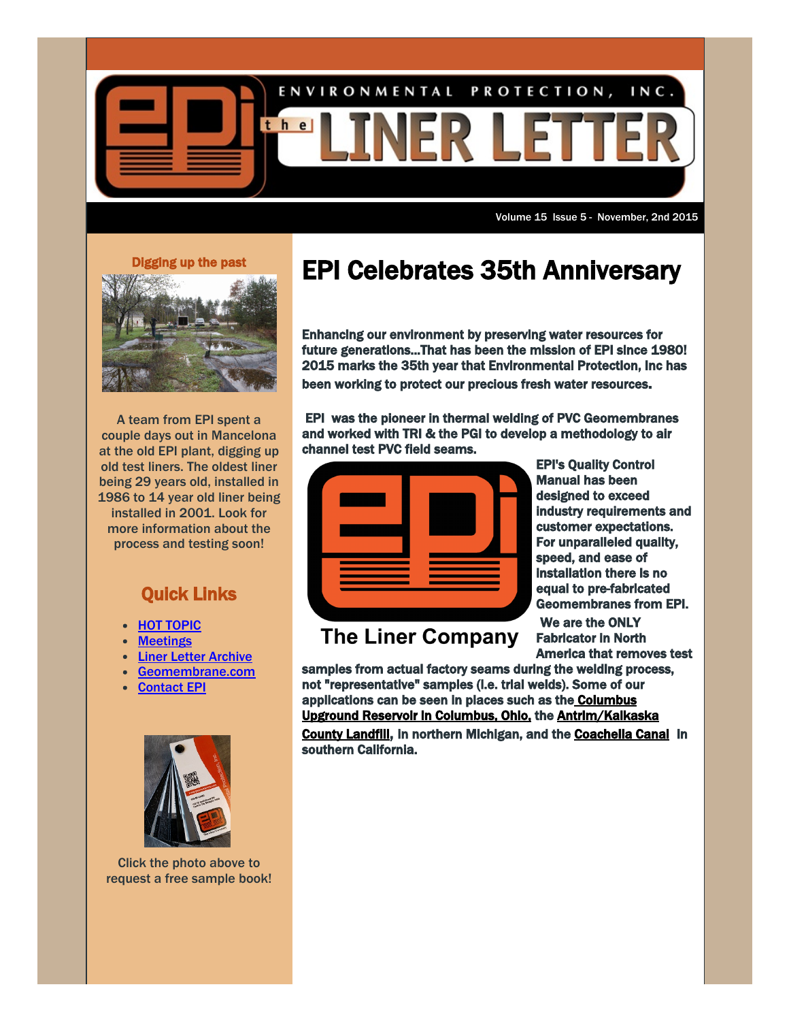

Volume 15 Issue 5 - November, 2nd 2015

## Digging up the past



A team from EPI spent a couple days out in Mancelona at the old EPI plant, digging up old test liners. The oldest liner being 29 years old, installed in 1986 to 14 year old liner being installed in 2001. Look for more information about the process and testing soon!

## Quick Links

- HOT [TOPIC](http://www.geomembrane.com/news-events/hot-topics/)
- **[Meetings](http://www.geomembrane.com/news-events/meetings.html)**
- Liner Letter [Archive](http://www.geomembrane.com/news-events/liner-letter/)
- [Geomembrane.com](http://www.geomembrane.com/)
- [Contact](http://www.geomembrane.com/contact-us/) EPI



Click the photo above to request a free sample book!

## EPI Celebrates 35th Anniversary

Enhancing our environment by preserving water resources for future generations...That has been the mission of EPI since 1980! 2015 marks the 35th year that Environmental Protection, Inc has been working to protect our precious fresh water resources.

 EPI was the pioneer in thermal welding of PVC Geomembranes and worked with TRI & the PGI to develop a methodology to air channel test PVC field seams.



**The Liner Company** 

EPI's Quality Control Manual has been designed to exceed industry requirements and customer expectations. For unparalleled quality, speed, and ease of installation there is no equal to pre-fabricated Geomembranes from EPI.

 We are the ONLY Fabricator in North America that removes test

samples from actual factory seams during the welding process, not "representative" samples (i.e. trial welds). Some of our applications can be seen in places such as the **Columbus** [Upground Reservoir in Columbus, Ohio, the Antrim/Kalkaska](http://www.geomembrane.com/case-studies/landfill/antrim-kalkaska-landfill-closure/) County Landfill, in northern Michigan, and the [Coachella Canal](http://www.geomembrane.com/case-studies/canals/coachella-canal/) in southern California.